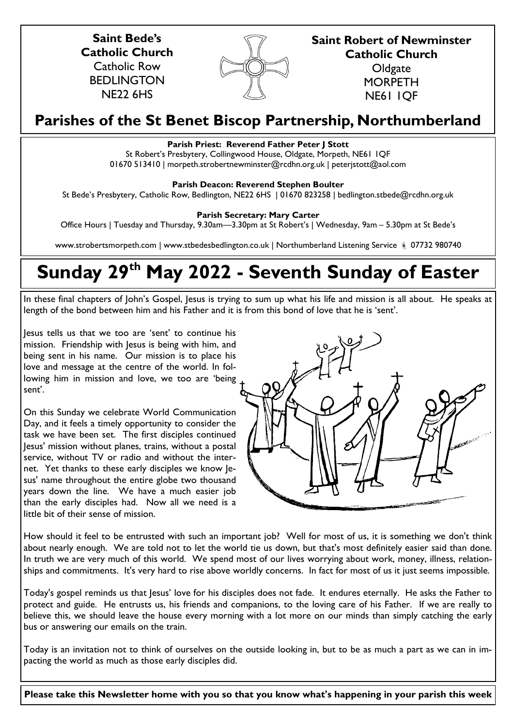**Saint Bede's Catholic Church** Catholic Row **BEDLINGTON** NE22 6HS



**Saint Robert of Newminster Catholic Church Oldgate MORPETH** 

NE61 1QF

# **Parishes of the St Benet Biscop Partnership, Northumberland**

# **Parish Priest: Reverend Father Peter J Stott**

St Robert's Presbytery, Collingwood House, Oldgate, Morpeth, NE61 1QF 01670 513410 | morpeth.strobertnewminster@rcdhn.org.uk | peterjstott@aol.com

# **Parish Deacon: Reverend Stephen Boulter**

St Bede's Presbytery, Catholic Row, Bedlington, NE22 6HS | 01670 823258 | bedlington.stbede@rcdhn.org.uk

# **Parish Secretary: Mary Carter**

Office Hours | Tuesday and Thursday, 9.30am—3.30pm at St Robert's | Wednesday, 9am – 5.30pm at St Bede's

www.strobertsmorpeth.com | www.stbedesbedlington.co.uk | Northumberland Listening Service | 07732 980740

# **Sunday 29th May 2022 - Seventh Sunday of Easter**

In these final chapters of John's Gospel, Jesus is trying to sum up what his life and mission is all about. He speaks at length of the bond between him and his Father and it is from this bond of love that he is 'sent'.

Jesus tells us that we too are 'sent' to continue his mission. Friendship with Jesus is being with him, and being sent in his name. Our mission is to place his love and message at the centre of the world. In following him in mission and love, we too are 'being sent'.

On this Sunday we celebrate World Communication Day, and it feels a timely opportunity to consider the task we have been set. The first disciples continued Jesus' mission without planes, trains, without a postal service, without TV or radio and without the internet. Yet thanks to these early disciples we know Jesus' name throughout the entire globe two thousand years down the line. We have a much easier job than the early disciples had. Now all we need is a little bit of their sense of mission.



How should it feel to be entrusted with such an important job? Well for most of us, it is something we don't think about nearly enough. We are told not to let the world tie us down, but that's most definitely easier said than done. In truth we are very much of this world. We spend most of our lives worrying about work, money, illness, relationships and commitments. It's very hard to rise above worldly concerns. In fact for most of us it just seems impossible.

Today's gospel reminds us that Jesus' love for his disciples does not fade. It endures eternally. He asks the Father to protect and guide. He entrusts us, his friends and companions, to the loving care of his Father. If we are really to believe this, we should leave the house every morning with a lot more on our minds than simply catching the early bus or answering our emails on the train.

Today is an invitation not to think of ourselves on the outside looking in, but to be as much a part as we can in impacting the world as much as those early disciples did.

**Please take this Newsletter home with you so that you know what's happening in your parish this week**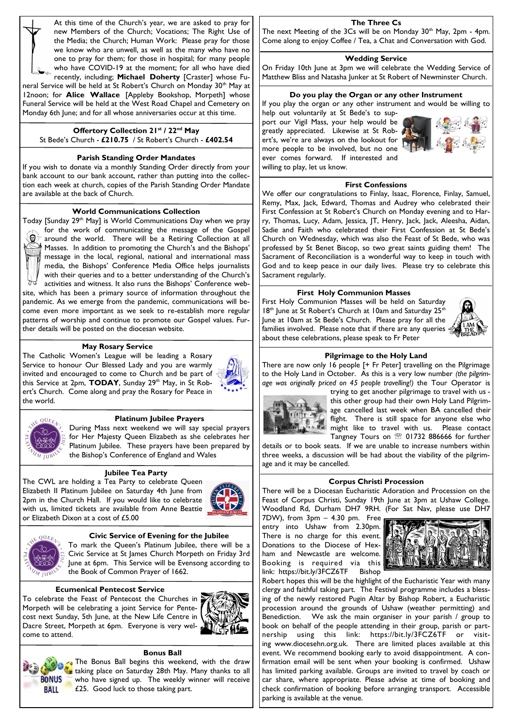At this time of the Church's year, we are asked to pray for new Members of the Church; Vocations; The Right Use of the Media; the Church; Human Work: Please pray for those we know who are unwell, as well as the many who have no one to pray for them; for those in hospital; for many people who have COVID-19 at the moment; for all who have died

recently, including; **Michael Doherty** [Craster] whose Funeral Service will be held at St Robert's Church on Monday 30<sup>th</sup> May at 12noon; for **Alice Wallace** [Appleby Bookshop, Morpeth] whose Funeral Service will be held at the West Road Chapel and Cemetery on Monday 6th June; and for all whose anniversaries occur at this time.

# **Offertory Collection 21st / 22nd May**

St Bede's Church - **£210.75** / St Robert's Church - **£402.54** 

# **Parish Standing Order Mandates**

If you wish to donate via a monthly Standing Order directly from your bank account to our bank account, rather than putting into the collection each week at church, copies of the Parish Standing Order Mandate are available at the back of Church.

# **World Communications Collection**



Today [Sunday 29<sup>th</sup> May] is World Communications Day when we pray for the work of communicating the message of the Gospel around the world. There will be a Retiring Collection at all Masses. In addition to promoting the Church's and the Bishops' message in the local, regional, national and international mass media, the Bishops' Conference Media Office helps journalists with their queries and to a better understanding of the Church's activities and witness. It also runs the Bishops' Conference website, which has been a primary source of information throughout the pandemic. As we emerge from the pandemic, communications will become even more important as we seek to re-establish more regular patterns of worship and continue to promote our Gospel values. Further details will be posted on the diocesan website.

# **May Rosary Service**

The Catholic Women's League will be leading a Rosary Service to honour Our Blessed Lady and you are warmly invited and encouraged to come to Church and be part of this Service at 2pm, **TODAY**, Sunday 29<sup>th</sup> May, in St Robert's Church. Come along and pray the Rosary for Peace in the world.





# **Platinum Jubilee Prayers**

During Mass next weekend we will say special prayers for Her Majesty Queen Elizabeth as she celebrates her Platinum Jubilee. These prayers have been prepared by the Bishop's Conference of England and Wales

#### **Jubilee Tea Party**

The CWL are holding a Tea Party to celebrate Queen Elizabeth II Platinum Jubilee on Saturday 4th June from 2pm in the Church Hall. If you would like to celebrate with us, limited tickets are available from Anne Beattie or Elizabeth Dixon at a cost of £5.00





**BONUS BALL** 

# **Civic Service of Evening for the Jubilee**

To mark the Queen's Platinum Jubilee, there will be a Civic Service at St James Church Morpeth on Friday 3rd June at 6pm. This Service will be Evensong according to the Book of Common Prayer of 1662.

### **Ecumenical Pentecost Service**

To celebrate the Feast of Pentecost the Churches in Morpeth will be celebrating a joint Service for Pentecost next Sunday, 5th June, at the New Life Centre in Dacre Street, Morpeth at 6pm. Everyone is very welcome to attend.



# **Bonus Ball**

The Bonus Ball begins this weekend, with the draw taking place on Saturday 28th May. Many thanks to all who have signed up. The weekly winner will receive £25. Good luck to those taking part.

#### **The Three Cs**

The next Meeting of the 3Cs will be on Monday 30<sup>th</sup> May, 2pm - 4pm. Come along to enjoy Coffee / Tea, a Chat and Conversation with God.

# **Wedding Service**

On Friday 10th June at 3pm we will celebrate the Wedding Service of Matthew Bliss and Natasha Junker at St Robert of Newminster Church.

# **Do you play the Organ or any other Instrument**

If you play the organ or any other instrument and would be willing to help out voluntarily at St Bede's to sup-

port our Vigil Mass, your help would be greatly appreciated. Likewise at St Robert's, we're are always on the lookout for more people to be involved, but no one ever comes forward. If interested and willing to play, let us know.



# **First Confessions**

We offer our congratulations to Finlay, Isaac, Florence, Finlay, Samuel, Remy, Max, Jack, Edward, Thomas and Audrey who celebrated their First Confession at St Robert's Church on Monday evening and to Harry, Thomas, Lucy, Adam, Jessica, JT, Henry, Jack, Jack, Aleesha, Aidan, Sadie and Faith who celebrated their First Confession at St Bede's Church on Wednesday, which was also the Feast of St Bede, who was professed by St Benet Biscop, so two great saints guiding them! The Sacrament of Reconciliation is a wonderful way to keep in touch with God and to keep peace in our daily lives. Please try to celebrate this Sacrament regularly.

### **First Holy Communion Masses**

First Holy Communion Masses will be held on Saturday  $18<sup>th</sup>$  June at St Robert's Church at 10am and Saturday 25<sup>th</sup> June at 10am at St Bede's Church. Please pray for all the families involved. Please note that if there are any queries  $\epsilon$ about these celebrations, please speak to Fr Peter



# **Pilgrimage to the Holy Land**

There are now only 16 people [+ Fr Peter] travelling on the Pilgrimage to the Holy Land in October. As this is a very low number *(the pilgrimage was originally priced on 45 people travelling!)* the Tour Operator is



trying to get another pilgrimage to travel with us this other group had their own Holy Land Pilgrimage cancelled last week when BA cancelled their flight. There is still space for anyone else who might like to travel with us. Please contact Tangney Tours on <sup>20</sup> 01732 886666 for further

details or to book seats. If we are unable to increase numbers within three weeks, a discussion will be had about the viability of the pilgrimage and it may be cancelled.

# **Corpus Christi Procession**

There will be a Diocesan Eucharistic Adoration and Procession on the Feast of Corpus Christi, Sunday 19th June at 3pm at Ushaw College. Woodland Rd, Durham DH7 9RH. (For Sat Nav, please use DH7

7DW), from  $3pm - 4.30$  pm. Free entry into Ushaw from 2.30pm. There is no charge for this event. Donations to the Diocese of Hexham and Newcastle are welcome. Booking is required via this link: https://bit.ly/3FCZ6TF Bishop



Robert hopes this will be the highlight of the Eucharistic Year with many clergy and faithful taking part. The Festival programme includes a blessing of the newly restored Pugin Altar by Bishop Robert, a Eucharistic procession around the grounds of Ushaw (weather permitting) and Benediction. We ask the main organiser in your parish / group to book on behalf of the people attending in their group, parish or partnership using this link: https://bit.ly/3FCZ6TF or visiting www.diocesehn.org.uk. There are limited places available at this event. We recommend booking early to avoid disappointment. A confirmation email will be sent when your booking is confirmed. Ushaw has limited parking available. Groups are invited to travel by coach or car share, where appropriate. Please advise at time of booking and check confirmation of booking before arranging transport. Accessible parking is available at the venue.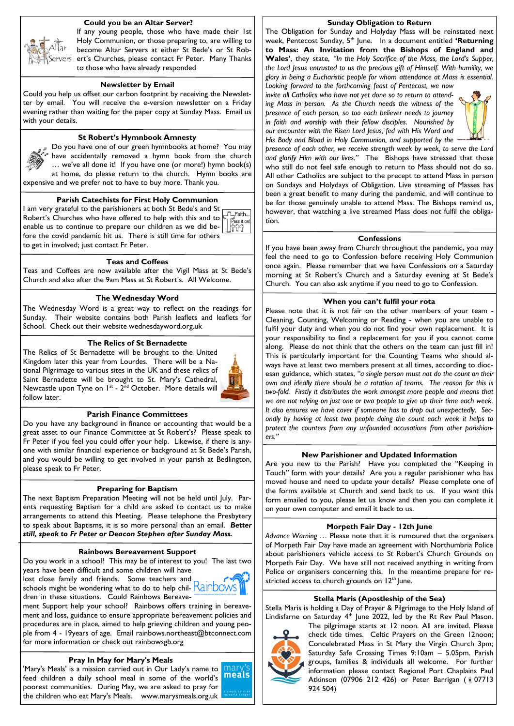

# **Could you be an Altar Server?**

If any young people, those who have made their 1st Holy Communion, or those preparing to, are willing to become Altar Servers at either St Bede's or St Robers ert's Churches, please contact Fr Peter. Many Thanks to those who have already responded

#### **Newsletter by Email**

Could you help us offset our carbon footprint by receiving the Newsletter by email. You will receive the e-version newsletter on a Friday evening rather than waiting for the paper copy at Sunday Mass. Email us with your details.

# **St Robert's Hymnbook Amnesty**

B Do you have one of our green hymnbooks at home? You may have accidentally removed a hymn book from the church ... we've all done it! If you have one (or more!) hymn book(s) at home, do please return to the church. Hymn books are expensive and we prefer not to have to buy more. Thank you.

# **Parish Catechists for First Holy Communion**

I am very grateful to the parishioners at both St Bede's and St Robert's Churches who have offered to help with this and enable us to continue to prepare our children as we did fore the covid pandemic hit us. There is still time for othe to get in involved; just contact Fr Peter.

| ـا ب |                      |
|------|----------------------|
| to   | Faith<br>Pass it on! |
| be-  |                      |
| ers  |                      |
|      |                      |

#### **Teas and Coffees**

Teas and Coffees are now available after the Vigil Mass at St Bede's Church and also after the 9am Mass at St Robert's. All Welcome.

### **The Wednesday Word**

The Wednesday Word is a great way to reflect on the readings for Sunday. Their website contains both Parish leaflets and leaflets for School. Check out their website wednesdayword.org.uk

# **The Relics of St Bernadette**

The Relics of St Bernadette will be brought to the United Kingdom later this year from Lourdes. There will be a National Pilgrimage to various sites in the UK and these relics of Saint Bernadette will be brought to St. Mary's Cathedral, Newcastle upon Tyne on 1<sup>st</sup> - 2<sup>nd</sup> October. More details will follow later.



### **Parish Finance Committees**

Do you have any background in finance or accounting that would be a great asset to our Finance Committee at St Robert's? Please speak to Fr Peter if you feel you could offer your help. Likewise, if there is anyone with similar financial experience or background at St Bede's Parish, and you would be willing to get involved in your parish at Bedlington, please speak to Fr Peter.

# **Preparing for Baptism**

The next Baptism Preparation Meeting will not be held until July. Parents requesting Baptism for a child are asked to contact us to make arrangements to attend this Meeting. Please telephone the Presbytery to speak about Baptisms, it is so more personal than an email. *Better still, speak to Fr Peter or Deacon Stephen after Sunday Mass.*

# **Rainbows Bereavement Support**

Do you work in a school? This may be of interest to you! The last two years have been difficult and some children will have

lost close family and friends. Some teachers and schools might be wondering what to do to help chil- $\frac{1}{2}$   $\frac{1}{2}$   $\frac{1}{2}$   $\frac{1}{2}$   $\frac{1}{2}$   $\frac{1}{2}$   $\frac{1}{2}$   $\frac{1}{2}$   $\frac{1}{2}$   $\frac{1}{2}$   $\frac{1}{2}$   $\frac{1}{2}$   $\frac{1}{2}$   $\frac{1}{2}$   $\frac{1}{2}$   $\frac{1}{2}$   $\frac{1}{2}$  dren in these situations. Could Rainbows Bereave-



ment Support help your school? Rainbows offers training in bereavement and loss, guidance to ensure appropriate bereavement policies and procedures are in place, aimed to help grieving children and young people from 4 - 19years of age. Email rainbows.northeast@btconnect.com for more information or check out rainbowsgb.org

# **Pray In May for Mary's Meals**

'Mary's Meals' is a mission carried out in Our Lady's name to feed children a daily school meal in some of the world's poorest communities. During May, we are asked to pray for the children who eat Mary's Meals. www.marysmeals.org.uk



The Obligation for Sunday and Holyday Mass will be reinstated next week, Pentecost Sunday, 5<sup>th</sup> June. In a document entitled 'Returning **to Mass: An Invitation from the Bishops of England and Wales'**, they state, *"In the Holy Sacrifice of the Mass, the Lord's Supper, the Lord Jesus entrusted to us the precious gift of Himself. With humility, we glory in being a Eucharistic people for whom attendance at Mass is essential. Looking forward to the forthcoming feast of Pentecost, we now* 

*invite all Catholics who have not yet done so to return to attending Mass in person. As the Church needs the witness of the presence of each person, so too each believer needs to journey in faith and worship with their fellow disciples. Nourished by our encounter with the Risen Lord Jesus, fed with His Word and His Body and Blood in Holy Communion, and supported by the* 



*presence of each other, we receive strength week by week, to serve the Lord and glorify Him with our lives."* The Bishops have stressed that those who still do not feel safe enough to return to Mass should not do so. All other Catholics are subject to the precept to attend Mass in person on Sundays and Holydays of Obligation. Live streaming of Masses has been a great benefit to many during the pandemic, and will continue to be for those genuinely unable to attend Mass. The Bishops remind us, however, that watching a live streamed Mass does not fulfil the obligation.

#### **Confessions**

If you have been away from Church throughout the pandemic, you may feel the need to go to Confession before receiving Holy Communion once again. Please remember that we have Confessions on a Saturday morning at St Robert's Church and a Saturday evening at St Bede's Church. You can also ask anytime if you need to go to Confession.

# **When you can't fulfil your rota**

Please note that it is not fair on the other members of your team Cleaning, Counting, Welcoming or Reading - when you are unable to fulfil your duty and when you do not find your own replacement. It is your responsibility to find a replacement for you if you cannot come along. Please do not think that the others on the team can just fill in! This is particularly important for the Counting Teams who should always have at least two members present at all times, according to diocesan guidance, which states, *"a single person must not do the count on their own and ideally there should be a rotation of teams. The reason for this is two-fold. Firstly it distributes the work amongst more people and means that we are not relying on just one or two people to give up their time each week. It also ensures we have cover if someone has to drop out unexpectedly. Secondly by having at least two people doing the count each week it helps to protect the counters from any unfounded accusations from other parishioners."*

#### **New Parishioner and Updated Information**

Are you new to the Parish? Have you completed the "Keeping in Touch" form with your details? Are you a regular parishioner who has moved house and need to update your details? Please complete one of the forms available at Church and send back to us. If you want this form emailed to you, please let us know and then you can complete it on your own computer and email it back to us.

#### **Morpeth Fair Day - 12th June**

*Advance Warning* … Please note that it is rumoured that the organisers of Morpeth Fair Day have made an agreement with Northumbria Police about parishioners vehicle access to St Robert's Church Grounds on Morpeth Fair Day. We have still not received anything in writing from Police or organisers concerning this. In the meantime prepare for restricted access to church grounds on  $12<sup>th</sup>$  June.

# **Stella Maris (Apostleship of the Sea)**

Stella Maris is holding a Day of Prayer & Pilgrimage to the Holy Island of Lindisfarne on Saturday  $4^{th}$  June 2022, led by the Rt Rev Paul Mason.



The pilgrimage starts at 12 noon. All are invited. Please check tide times. Celtic Prayers on the Green 12noon; Concelebrated Mass in St Mary the Virgin Church 3pm; Saturday Safe Crossing Times 9:10am – 5.05pm. Parish groups, families & individuals all welcome. For further information please contact Regional Port Chaplains Paul Atkinson (07906 212 426) or Peter Barrigan ( @ 07713 924 504)